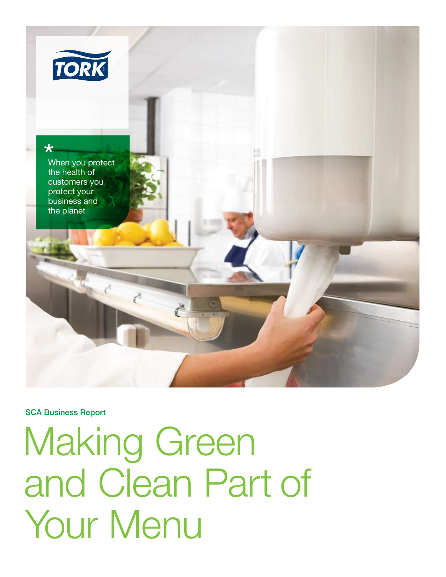

### SCA Business Report

Making Green and Clean Part of Your Menu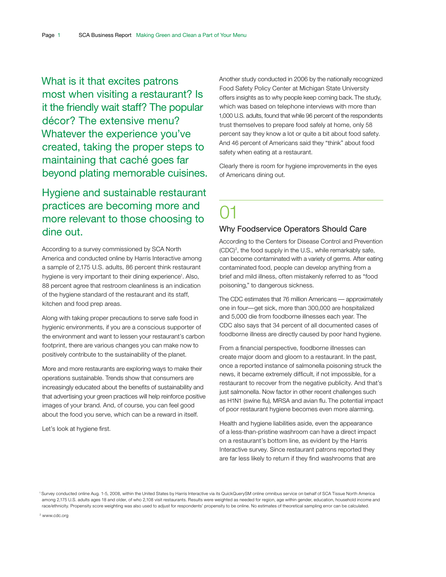What is it that excites patrons most when visiting a restaurant? Is it the friendly wait staff? The popular décor? The extensive menu? Whatever the experience you've created, taking the proper steps to maintaining that caché goes far beyond plating memorable cuisines.

### Hygiene and sustainable restaurant practices are becoming more and more relevant to those choosing to dine out.

According to a survey commissioned by SCA North America and conducted online by Harris Interactive among a sample of 2,175 U.S. adults, 86 percent think restaurant hygiene is very important to their dining experience<sup>1</sup>. Also, 88 percent agree that restroom cleanliness is an indication of the hygiene standard of the restaurant and its staff, kitchen and food prep areas.

Along with taking proper precautions to serve safe food in hygienic environments, if you are a conscious supporter of the environment and want to lessen your restaurant's carbon footprint, there are various changes you can make now to positively contribute to the sustainability of the planet.

More and more restaurants are exploring ways to make their operations sustainable. Trends show that consumers are increasingly educated about the benefits of sustainability and that advertising your green practices will help reinforce positive images of your brand. And, of course, you can feel good about the food you serve, which can be a reward in itself.

Let's look at hygiene first.

Another study conducted in 2006 by the nationally recognized Food Safety Policy Center at Michigan State University offers insights as to why people keep coming back. The study, which was based on telephone interviews with more than 1,000 U.S. adults, found that while 96 percent of the respondents trust themselves to prepare food safely at home, only 58 percent say they know a lot or quite a bit about food safety. And 46 percent of Americans said they "think" about food safety when eating at a restaurant.

Clearly there is room for hygiene improvements in the eyes of Americans dining out.

# 01

### Why Foodservice Operators Should Care

According to the Centers for Disease Control and Prevention  $(CDC)^2$ , the food supply in the U.S., while remarkably safe, can become contaminated with a variety of germs. After eating contaminated food, people can develop anything from a brief and mild illness, often mistakenly referred to as "food poisoning," to dangerous sickness.

The CDC estimates that 76 million Americans — approximately one in four—get sick, more than 300,000 are hospitalized and 5,000 die from foodborne illnesses each year. The CDC also says that 34 percent of all documented cases of foodborne illness are directly caused by poor hand hygiene.

From a financial perspective, foodborne illnesses can create major doom and gloom to a restaurant. In the past, once a reported instance of salmonella poisoning struck the news, it became extremely difficult, if not impossible, for a restaurant to recover from the negative publicity. And that's just salmonella. Now factor in other recent challenges such as H1N1 (swine flu), MRSA and avian flu. The potential impact of poor restaurant hygiene becomes even more alarming.

Health and hygiene liabilities aside, even the appearance of a less-than-pristine washroom can have a direct impact on a restaurant's bottom line, as evident by the Harris Interactive survey. Since restaurant patrons reported they are far less likely to return if they find washrooms that are

<sup>2</sup> www.cdc.org

<sup>1</sup> Survey conducted online Aug. 1-5, 2008, within the United States by Harris Interactive via its QuickQuerySM online omnibus service on behalf of SCA Tissue North America among 2,175 U.S. adults ages 18 and older, of who 2,108 visit restaurants. Results were weighted as needed for region, age within gender, education, household income and race/ethnicity. Propensity score weighting was also used to adjust for respondents' propensity to be online. No estimates of theoretical sampling error can be calculated.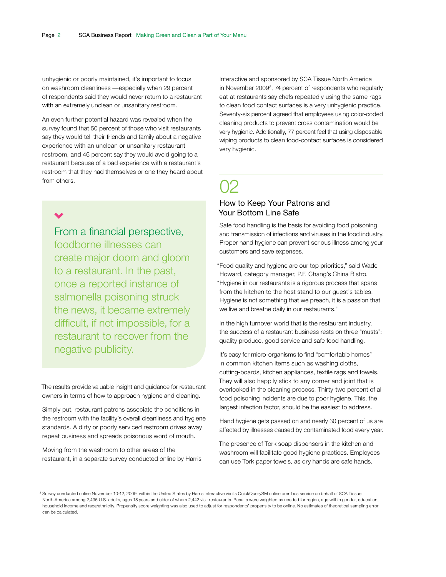unhygienic or poorly maintained, it's important to focus on washroom cleanliness —especially when 29 percent of respondents said they would never return to a restaurant with an extremely unclean or unsanitary restroom.

An even further potential hazard was revealed when the survey found that 50 percent of those who visit restaurants say they would tell their friends and family about a negative experience with an unclean or unsanitary restaurant restroom, and 46 percent say they would avoid going to a restaurant because of a bad experience with a restaurant's restroom that they had themselves or one they heard about from others.

From a financial perspective, foodborne illnesses can create major doom and gloom to a restaurant. In the past, once a reported instance of salmonella poisoning struck the news, it became extremely difficult, if not impossible, for a restaurant to recover from the negative publicity.

The results provide valuable insight and guidance for restaurant owners in terms of how to approach hygiene and cleaning.

Simply put, restaurant patrons associate the conditions in the restroom with the facility's overall cleanliness and hygiene standards. A dirty or poorly serviced restroom drives away repeat business and spreads poisonous word of mouth.

Moving from the washroom to other areas of the restaurant, in a separate survey conducted online by Harris

Interactive and sponsored by SCA Tissue North America in November 2009<sup>3</sup>, 74 percent of respondents who regularly eat at restaurants say chefs repeatedly using the same rags to clean food contact surfaces is a very unhygienic practice. Seventy-six percent agreed that employees using color-coded cleaning products to prevent cross contamination would be very hygienic. Additionally, 77 percent feel that using disposable wiping products to clean food-contact surfaces is considered very hygienic.

## $O2$

### How to Keep Your Patrons and Your Bottom Line Safe

Safe food handling is the basis for avoiding food poisoning and transmission of infections and viruses in the food industry. Proper hand hygiene can prevent serious illness among your customers and save expenses.

"Food quality and hygiene are our top priorities," said Wade Howard, category manager, P.F. Chang's China Bistro. "Hygiene in our restaurants is a rigorous process that spans from the kitchen to the host stand to our guest's tables. Hygiene is not something that we preach, it is a passion that we live and breathe daily in our restaurants."

In the high turnover world that is the restaurant industry, the success of a restaurant business rests on three "musts": quality produce, good service and safe food handling.

It's easy for micro-organisms to find "comfortable homes" in common kitchen items such as washing cloths, cutting-boards, kitchen appliances, textile rags and towels. They will also happily stick to any corner and joint that is overlooked in the cleaning process. Thirty-two percent of all food poisoning incidents are due to poor hygiene. This, the largest infection factor, should be the easiest to address.

Hand hygiene gets passed on and nearly 30 percent of us are affected by illnesses caused by contaminated food every year.

The presence of Tork soap dispensers in the kitchen and washroom will facilitate good hygiene practices. Employees can use Tork paper towels, as dry hands are safe hands.

<sup>&</sup>lt;sup>3</sup> Survey conducted online November 10-12, 2009, within the United States by Harris Interactive via its QuickQuerySM online omnibus service on behalf of SCA Tissue North America among 2,495 U.S. adults, ages 18 years and older of whom 2,442 visit restaurants. Results were weighted as needed for region, age within gender, education, household income and race/ethnicity. Propensity score weighting was also used to adjust for respondents' propensity to be online. No estimates of theoretical sampling error can be calculated.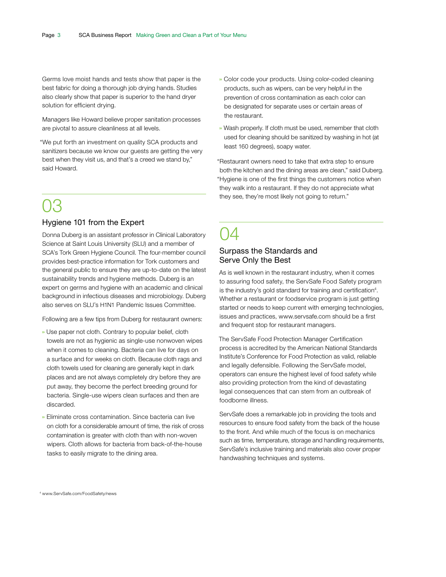Germs love moist hands and tests show that paper is the best fabric for doing a thorough job drying hands. Studies also clearly show that paper is superior to the hand dryer solution for efficient drying.

Managers like Howard believe proper sanitation processes are pivotal to assure cleanliness at all levels.

"We put forth an investment on quality SCA products and sanitizers because we know our guests are getting the very best when they visit us, and that's a creed we stand by," said Howard.

## 03

### Hygiene 101 from the Expert

Donna Duberg is an assistant professor in Clinical Laboratory Science at Saint Louis University (SLU) and a member of SCA's Tork Green Hygiene Council. The four-member council provides best-practice information for Tork customers and the general public to ensure they are up-to-date on the latest sustainability trends and hygiene methods. Duberg is an expert on germs and hygiene with an academic and clinical background in infectious diseases and microbiology. Duberg also serves on SLU's H1N1 Pandemic Issues Committee.

Following are a few tips from Duberg for restaurant owners:

- » Use paper not cloth. Contrary to popular belief, cloth towels are not as hygienic as single-use nonwoven wipes when it comes to cleaning. Bacteria can live for days on a surface and for weeks on cloth. Because cloth rags and cloth towels used for cleaning are generally kept in dark places and are not always completely dry before they are put away, they become the perfect breeding ground for bacteria. Single-use wipers clean surfaces and then are discarded.
- » Eliminate cross contamination. Since bacteria can live on cloth for a considerable amount of time, the risk of cross contamination is greater with cloth than with non-woven wipers. Cloth allows for bacteria from back-of-the-house tasks to easily migrate to the dining area.
- » Color code your products. Using color-coded cleaning products, such as wipers, can be very helpful in the prevention of cross contamination as each color can be designated for separate uses or certain areas of the restaurant.
- » Wash properly. If cloth must be used, remember that cloth used for cleaning should be sanitized by washing in hot (at least 160 degrees), soapy water.

"Restaurant owners need to take that extra step to ensure both the kitchen and the dining areas are clean," said Duberg. "Hygiene is one of the first things the customers notice when they walk into a restaurant. If they do not appreciate what they see, they're most likely not going to return."

## 04 Surpass the Standards and Serve Only the Best

As is well known in the restaurant industry, when it comes to assuring food safety, the ServSafe Food Safety program is the industry's gold standard for training and certification<sup>4</sup>. Whether a restaurant or foodservice program is just getting started or needs to keep current with emerging technologies, issues and practices, www.servsafe.com should be a first and frequent stop for restaurant managers.

The ServSafe Food Protection Manager Certification process is accredited by the American National Standards Institute's Conference for Food Protection as valid, reliable and legally defensible. Following the ServSafe model, operators can ensure the highest level of food safety while also providing protection from the kind of devastating legal consequences that can stem from an outbreak of foodborne illness.

ServSafe does a remarkable job in providing the tools and resources to ensure food safety from the back of the house to the front. And while much of the focus is on mechanics such as time, temperature, storage and handling requirements, ServSafe's inclusive training and materials also cover proper handwashing techniques and systems.

4 www.ServSafe.com/FoodSafety/news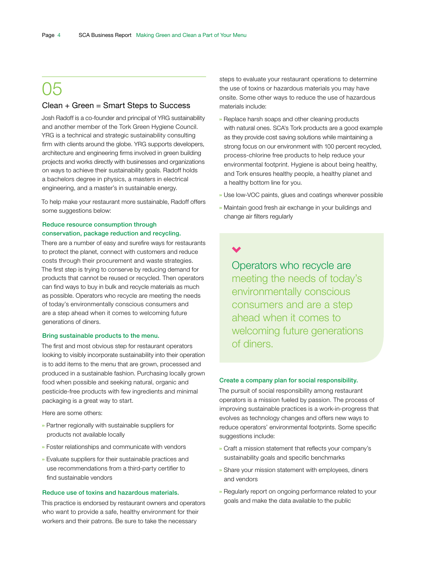## 05

### Clean + Green = Smart Steps to Success

Josh Radoff is a co-founder and principal of YRG sustainability and another member of the Tork Green Hygiene Council. YRG is a technical and strategic sustainability consulting firm with clients around the globe. YRG supports developers, architecture and engineering firms involved in green building projects and works directly with businesses and organizations on ways to achieve their sustainability goals. Radoff holds a bachelors degree in physics, a masters in electrical engineering, and a master's in sustainable energy.

To help make your restaurant more sustainable, Radoff offers some suggestions below:

### Reduce resource consumption through conservation, package reduction and recycling.

There are a number of easy and surefire ways for restaurants to protect the planet, connect with customers and reduce costs through their procurement and waste strategies. The first step is trying to conserve by reducing demand for products that cannot be reused or recycled. Then operators can find ways to buy in bulk and recycle materials as much as possible. Operators who recycle are meeting the needs of today's environmentally conscious consumers and are a step ahead when it comes to welcoming future generations of diners.

#### Bring sustainable products to the menu.

The first and most obvious step for restaurant operators looking to visibly incorporate sustainability into their operation is to add items to the menu that are grown, processed and produced in a sustainable fashion. Purchasing locally grown food when possible and seeking natural, organic and pesticide-free products with few ingredients and minimal packaging is a great way to start.

Here are some others:

- » Partner regionally with sustainable suppliers for products not available locally
- » Foster relationships and communicate with vendors
- » Evaluate suppliers for their sustainable practices and use recommendations from a third-party certifier to find sustainable vendors

### Reduce use of toxins and hazardous materials.

This practice is endorsed by restaurant owners and operators who want to provide a safe, healthy environment for their workers and their patrons. Be sure to take the necessary

steps to evaluate your restaurant operations to determine the use of toxins or hazardous materials you may have onsite. Some other ways to reduce the use of hazardous materials include:

- » Replace harsh soaps and other cleaning products with natural ones. SCA's Tork products are a good example as they provide cost saving solutions while maintaining a strong focus on our environment with 100 percent recycled. process-chlorine free products to help reduce your environmental footprint. Hygiene is about being healthy, and Tork ensures healthy people, a healthy planet and a healthy bottom line for you.
- » Use low-VOC paints, glues and coatings wherever possible
- » Maintain good fresh air exchange in your buildings and change air filters regularly

Operators who recycle are meeting the needs of today's environmentally conscious consumers and are a step ahead when it comes to welcoming future generations of diners.

#### Create a company plan for social responsibility.

The pursuit of social responsibility among restaurant operators is a mission fueled by passion. The process of improving sustainable practices is a work-in-progress that evolves as technology changes and offers new ways to reduce operators' environmental footprints. Some specific suggestions include:

- » Craft a mission statement that reflects your company's sustainability goals and specific benchmarks
- » Share your mission statement with employees, diners and vendors
- » Regularly report on ongoing performance related to your goals and make the data available to the public